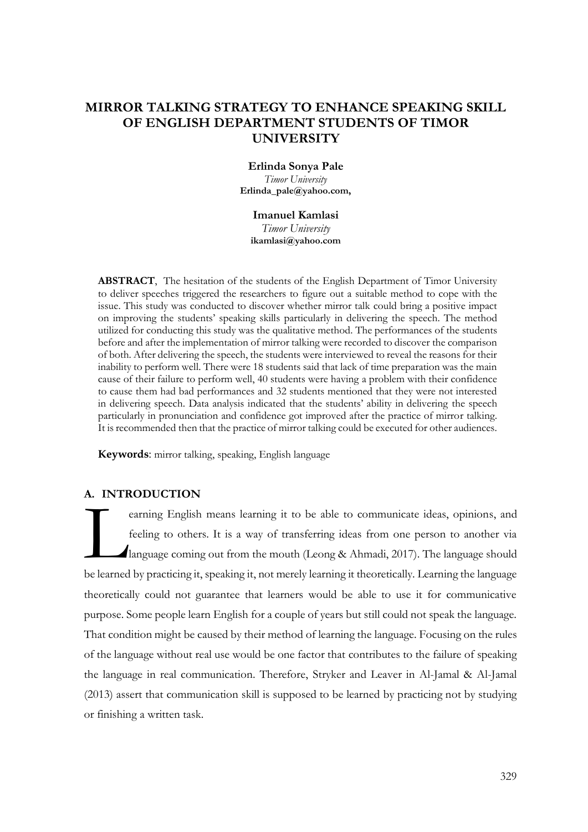# **MIRROR TALKING STRATEGY TO ENHANCE SPEAKING SKILL OF ENGLISH DEPARTMENT STUDENTS OF TIMOR UNIVERSITY**

## **Erlinda Sonya Pale**

*Timor University* **[Erlinda\\_pale@yahoo.com,](mailto:Erlinda_pale@yahoo.com)**

#### **Imanuel Kamlasi**

*Timor University* **[ikamlasi@yahoo.com](mailto:ikamlasi@yahoo.com)**

**ABSTRACT**, The hesitation of the students of the English Department of Timor University to deliver speeches triggered the researchers to figure out a suitable method to cope with the issue. This study was conducted to discover whether mirror talk could bring a positive impact on improving the students' speaking skills particularly in delivering the speech. The method utilized for conducting this study was the qualitative method. The performances of the students before and after the implementation of mirror talking were recorded to discover the comparison of both. After delivering the speech, the students were interviewed to reveal the reasons for their inability to perform well. There were 18 students said that lack of time preparation was the main cause of their failure to perform well, 40 students were having a problem with their confidence to cause them had bad performances and 32 students mentioned that they were not interested in delivering speech. Data analysis indicated that the students' ability in delivering the speech particularly in pronunciation and confidence got improved after the practice of mirror talking. It is recommended then that the practice of mirror talking could be executed for other audiences.

**Keywords**: mirror talking, speaking, English language

## **A. INTRODUCTION**

earning English means learning it to be able to communicate ideas, opinions, and feeling to others. It is a way of transferring ideas from one person to another via language coming out from the mouth (Leong & Ahmadi, 2017). The language should be learned by practicing it, speaking it, not merely learning it theoretically. Learning the language theoretically could not guarantee that learners would be able to use it for communicative purpose. Some people learn English for a couple of years but still could not speak the language. That condition might be caused by their method of learning the language. Focusing on the rules of the language without real use would be one factor that contributes to the failure of speaking the language in real communication. Therefore, Stryker and Leaver in Al-Jamal & Al-Jamal (2013) assert that communication skill is supposed to be learned by practicing not by studying or finishing a written task. L<br>De learned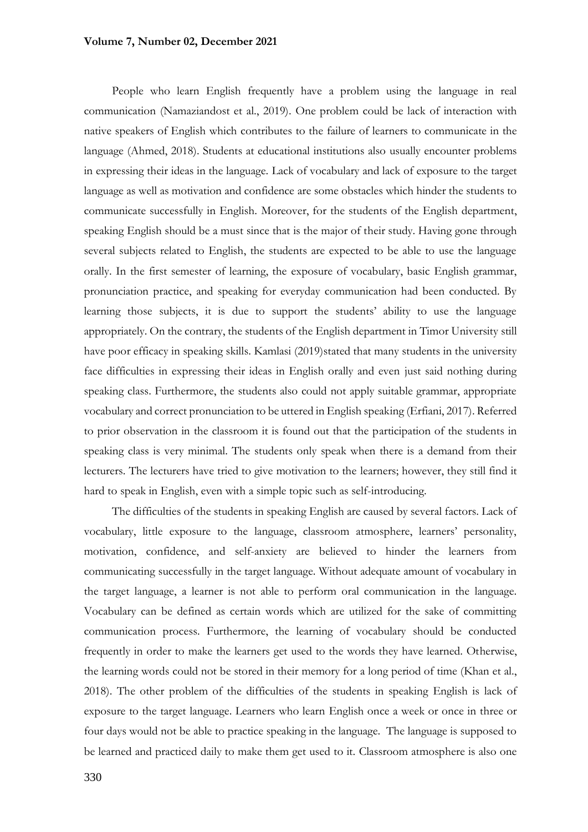#### **Volume 7, Number 02, December 2021**

People who learn English frequently have a problem using the language in real communication (Namaziandost et al., 2019). One problem could be lack of interaction with native speakers of English which contributes to the failure of learners to communicate in the language (Ahmed, 2018). Students at educational institutions also usually encounter problems in expressing their ideas in the language. Lack of vocabulary and lack of exposure to the target language as well as motivation and confidence are some obstacles which hinder the students to communicate successfully in English. Moreover, for the students of the English department, speaking English should be a must since that is the major of their study. Having gone through several subjects related to English, the students are expected to be able to use the language orally. In the first semester of learning, the exposure of vocabulary, basic English grammar, pronunciation practice, and speaking for everyday communication had been conducted. By learning those subjects, it is due to support the students' ability to use the language appropriately. On the contrary, the students of the English department in Timor University still have poor efficacy in speaking skills. Kamlasi (2019)stated that many students in the university face difficulties in expressing their ideas in English orally and even just said nothing during speaking class. Furthermore, the students also could not apply suitable grammar, appropriate vocabulary and correct pronunciation to be uttered in English speaking (Erfiani, 2017). Referred to prior observation in the classroom it is found out that the participation of the students in speaking class is very minimal. The students only speak when there is a demand from their lecturers. The lecturers have tried to give motivation to the learners; however, they still find it hard to speak in English, even with a simple topic such as self-introducing.

The difficulties of the students in speaking English are caused by several factors. Lack of vocabulary, little exposure to the language, classroom atmosphere, learners' personality, motivation, confidence, and self-anxiety are believed to hinder the learners from communicating successfully in the target language. Without adequate amount of vocabulary in the target language, a learner is not able to perform oral communication in the language. Vocabulary can be defined as certain words which are utilized for the sake of committing communication process. Furthermore, the learning of vocabulary should be conducted frequently in order to make the learners get used to the words they have learned. Otherwise, the learning words could not be stored in their memory for a long period of time (Khan et al., 2018). The other problem of the difficulties of the students in speaking English is lack of exposure to the target language. Learners who learn English once a week or once in three or four days would not be able to practice speaking in the language. The language is supposed to be learned and practiced daily to make them get used to it. Classroom atmosphere is also one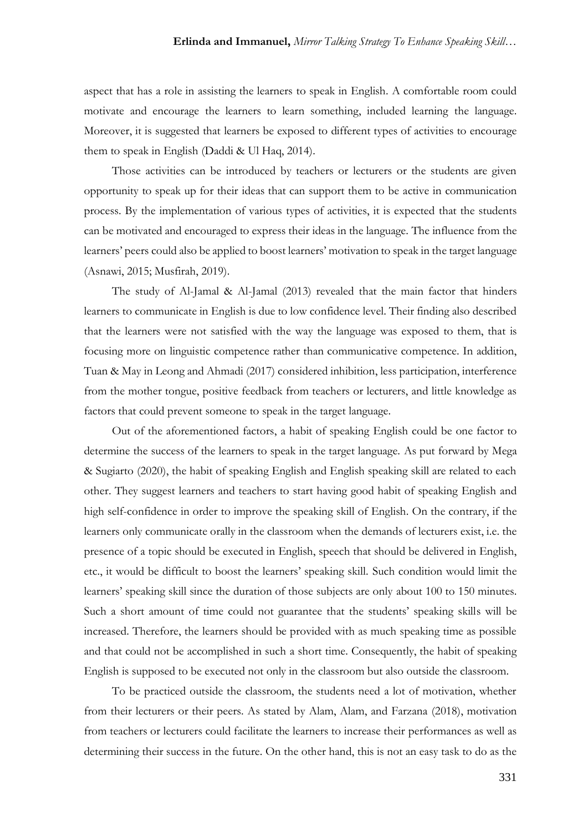aspect that has a role in assisting the learners to speak in English. A comfortable room could motivate and encourage the learners to learn something, included learning the language. Moreover, it is suggested that learners be exposed to different types of activities to encourage them to speak in English (Daddi & Ul Haq, 2014).

Those activities can be introduced by teachers or lecturers or the students are given opportunity to speak up for their ideas that can support them to be active in communication process. By the implementation of various types of activities, it is expected that the students can be motivated and encouraged to express their ideas in the language. The influence from the learners' peers could also be applied to boost learners' motivation to speak in the target language (Asnawi, 2015; Musfirah, 2019).

The study of Al-Jamal & Al-Jamal (2013) revealed that the main factor that hinders learners to communicate in English is due to low confidence level. Their finding also described that the learners were not satisfied with the way the language was exposed to them, that is focusing more on linguistic competence rather than communicative competence. In addition, Tuan & May in Leong and Ahmadi (2017) considered inhibition, less participation, interference from the mother tongue, positive feedback from teachers or lecturers, and little knowledge as factors that could prevent someone to speak in the target language.

Out of the aforementioned factors, a habit of speaking English could be one factor to determine the success of the learners to speak in the target language. As put forward by Mega & Sugiarto (2020), the habit of speaking English and English speaking skill are related to each other. They suggest learners and teachers to start having good habit of speaking English and high self-confidence in order to improve the speaking skill of English. On the contrary, if the learners only communicate orally in the classroom when the demands of lecturers exist, i.e. the presence of a topic should be executed in English, speech that should be delivered in English, etc., it would be difficult to boost the learners' speaking skill. Such condition would limit the learners' speaking skill since the duration of those subjects are only about 100 to 150 minutes. Such a short amount of time could not guarantee that the students' speaking skills will be increased. Therefore, the learners should be provided with as much speaking time as possible and that could not be accomplished in such a short time. Consequently, the habit of speaking English is supposed to be executed not only in the classroom but also outside the classroom.

To be practiced outside the classroom, the students need a lot of motivation, whether from their lecturers or their peers. As stated by Alam, Alam, and Farzana (2018), motivation from teachers or lecturers could facilitate the learners to increase their performances as well as determining their success in the future. On the other hand, this is not an easy task to do as the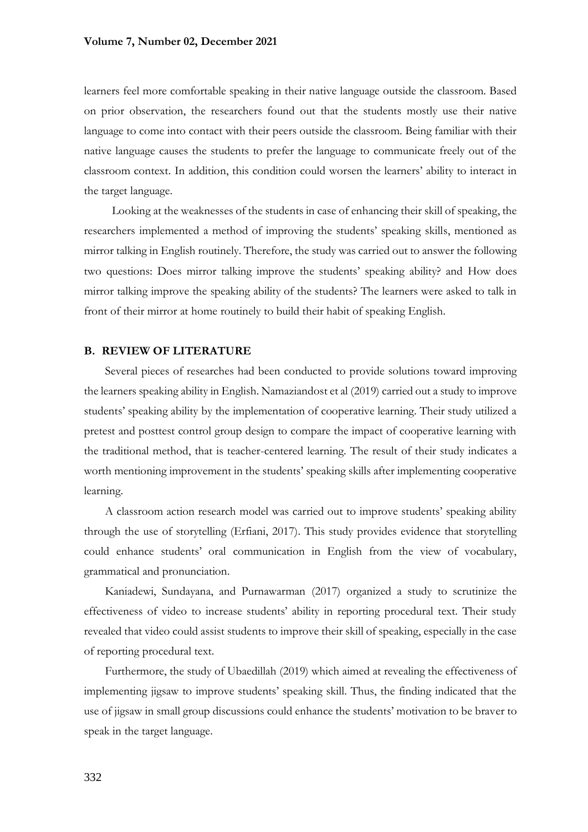learners feel more comfortable speaking in their native language outside the classroom. Based on prior observation, the researchers found out that the students mostly use their native language to come into contact with their peers outside the classroom. Being familiar with their native language causes the students to prefer the language to communicate freely out of the classroom context. In addition, this condition could worsen the learners' ability to interact in the target language.

Looking at the weaknesses of the students in case of enhancing their skill of speaking, the researchers implemented a method of improving the students' speaking skills, mentioned as mirror talking in English routinely. Therefore, the study was carried out to answer the following two questions: Does mirror talking improve the students' speaking ability? and How does mirror talking improve the speaking ability of the students? The learners were asked to talk in front of their mirror at home routinely to build their habit of speaking English.

#### **B. REVIEW OF LITERATURE**

Several pieces of researches had been conducted to provide solutions toward improving the learners speaking ability in English. Namaziandost et al (2019) carried out a study to improve students' speaking ability by the implementation of cooperative learning. Their study utilized a pretest and posttest control group design to compare the impact of cooperative learning with the traditional method, that is teacher-centered learning. The result of their study indicates a worth mentioning improvement in the students' speaking skills after implementing cooperative learning.

A classroom action research model was carried out to improve students' speaking ability through the use of storytelling (Erfiani, 2017). This study provides evidence that storytelling could enhance students' oral communication in English from the view of vocabulary, grammatical and pronunciation.

Kaniadewi, Sundayana, and Purnawarman (2017) organized a study to scrutinize the effectiveness of video to increase students' ability in reporting procedural text. Their study revealed that video could assist students to improve their skill of speaking, especially in the case of reporting procedural text.

Furthermore, the study of Ubaedillah (2019) which aimed at revealing the effectiveness of implementing jigsaw to improve students' speaking skill. Thus, the finding indicated that the use of jigsaw in small group discussions could enhance the students' motivation to be braver to speak in the target language.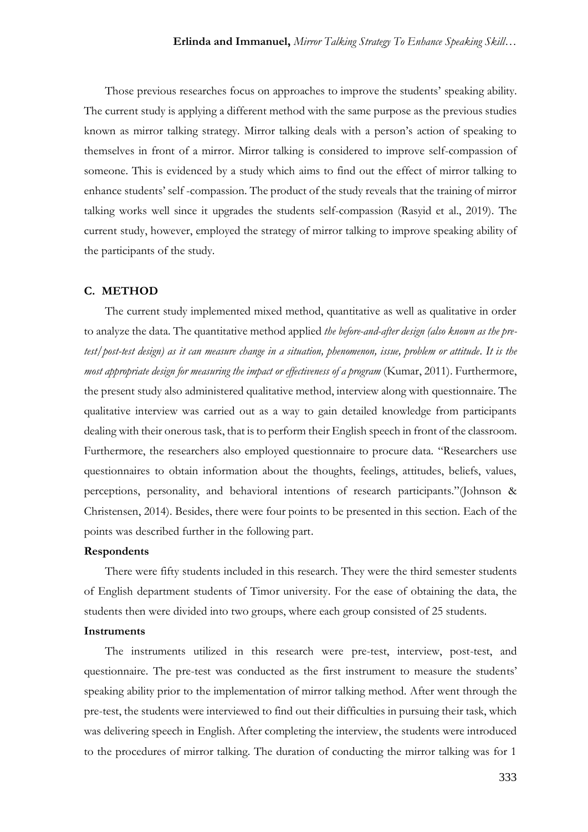Those previous researches focus on approaches to improve the students' speaking ability. The current study is applying a different method with the same purpose as the previous studies known as mirror talking strategy. Mirror talking deals with a person's action of speaking to themselves in front of a mirror. Mirror talking is considered to improve self-compassion of someone. This is evidenced by a study which aims to find out the effect of mirror talking to enhance students' self -compassion. The product of the study reveals that the training of mirror talking works well since it upgrades the students self-compassion (Rasyid et al., 2019). The current study, however, employed the strategy of mirror talking to improve speaking ability of the participants of the study.

#### **C. METHOD**

The current study implemented mixed method, quantitative as well as qualitative in order to analyze the data. The quantitative method applied *the before-and-after design (also known as the pretest/post-test design) as it can measure change in a situation, phenomenon, issue, problem or attitude. It is the most appropriate design for measuring the impact or effectiveness of a program* (Kumar, 2011). Furthermore, the present study also administered qualitative method, interview along with questionnaire. The qualitative interview was carried out as a way to gain detailed knowledge from participants dealing with their onerous task, that is to perform their English speech in front of the classroom. Furthermore, the researchers also employed questionnaire to procure data. "Researchers use questionnaires to obtain information about the thoughts, feelings, attitudes, beliefs, values, perceptions, personality, and behavioral intentions of research participants."(Johnson & Christensen, 2014). Besides, there were four points to be presented in this section. Each of the points was described further in the following part.

#### **Respondents**

There were fifty students included in this research. They were the third semester students of English department students of Timor university. For the ease of obtaining the data, the students then were divided into two groups, where each group consisted of 25 students.

#### **Instruments**

The instruments utilized in this research were pre-test, interview, post-test, and questionnaire. The pre-test was conducted as the first instrument to measure the students' speaking ability prior to the implementation of mirror talking method. After went through the pre-test, the students were interviewed to find out their difficulties in pursuing their task, which was delivering speech in English. After completing the interview, the students were introduced to the procedures of mirror talking. The duration of conducting the mirror talking was for 1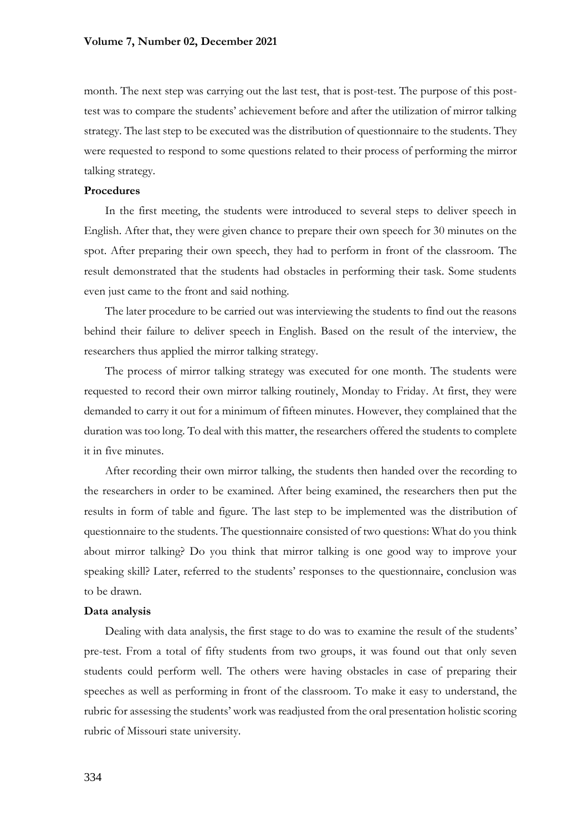month. The next step was carrying out the last test, that is post-test. The purpose of this posttest was to compare the students' achievement before and after the utilization of mirror talking strategy. The last step to be executed was the distribution of questionnaire to the students. They were requested to respond to some questions related to their process of performing the mirror talking strategy.

## **Procedures**

In the first meeting, the students were introduced to several steps to deliver speech in English. After that, they were given chance to prepare their own speech for 30 minutes on the spot. After preparing their own speech, they had to perform in front of the classroom. The result demonstrated that the students had obstacles in performing their task. Some students even just came to the front and said nothing.

The later procedure to be carried out was interviewing the students to find out the reasons behind their failure to deliver speech in English. Based on the result of the interview, the researchers thus applied the mirror talking strategy.

The process of mirror talking strategy was executed for one month. The students were requested to record their own mirror talking routinely, Monday to Friday. At first, they were demanded to carry it out for a minimum of fifteen minutes. However, they complained that the duration was too long. To deal with this matter, the researchers offered the students to complete it in five minutes.

After recording their own mirror talking, the students then handed over the recording to the researchers in order to be examined. After being examined, the researchers then put the results in form of table and figure. The last step to be implemented was the distribution of questionnaire to the students. The questionnaire consisted of two questions: What do you think about mirror talking? Do you think that mirror talking is one good way to improve your speaking skill? Later, referred to the students' responses to the questionnaire, conclusion was to be drawn.

#### **Data analysis**

Dealing with data analysis, the first stage to do was to examine the result of the students' pre-test. From a total of fifty students from two groups, it was found out that only seven students could perform well. The others were having obstacles in case of preparing their speeches as well as performing in front of the classroom. To make it easy to understand, the rubric for assessing the students' work was readjusted from the oral presentation holistic scoring rubric of Missouri state university.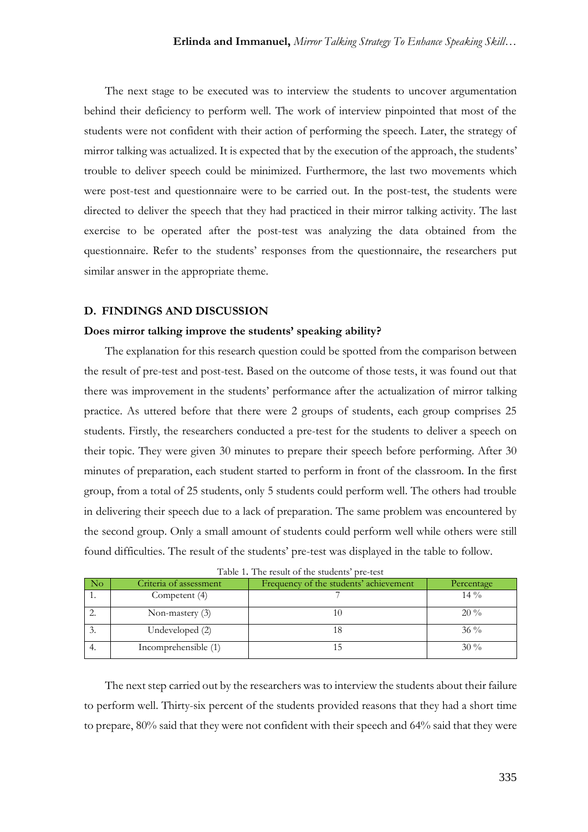The next stage to be executed was to interview the students to uncover argumentation behind their deficiency to perform well. The work of interview pinpointed that most of the students were not confident with their action of performing the speech. Later, the strategy of mirror talking was actualized. It is expected that by the execution of the approach, the students' trouble to deliver speech could be minimized. Furthermore, the last two movements which were post-test and questionnaire were to be carried out. In the post-test, the students were directed to deliver the speech that they had practiced in their mirror talking activity. The last exercise to be operated after the post-test was analyzing the data obtained from the questionnaire. Refer to the students' responses from the questionnaire, the researchers put similar answer in the appropriate theme.

#### **D. FINDINGS AND DISCUSSION**

#### **Does mirror talking improve the students' speaking ability?**

The explanation for this research question could be spotted from the comparison between the result of pre-test and post-test. Based on the outcome of those tests, it was found out that there was improvement in the students' performance after the actualization of mirror talking practice. As uttered before that there were 2 groups of students, each group comprises 25 students. Firstly, the researchers conducted a pre-test for the students to deliver a speech on their topic. They were given 30 minutes to prepare their speech before performing. After 30 minutes of preparation, each student started to perform in front of the classroom. In the first group, from a total of 25 students, only 5 students could perform well. The others had trouble in delivering their speech due to a lack of preparation. The same problem was encountered by the second group. Only a small amount of students could perform well while others were still found difficulties. The result of the students' pre-test was displayed in the table to follow.

| - No      | Criteria of assessment | Frequency of the students' achievement | Percentage |
|-----------|------------------------|----------------------------------------|------------|
|           | Competent (4)          |                                        | $14\%$     |
|           | Non-mastery $(3)$      |                                        | $20\%$     |
| $\cdot$ . | Undeveloped (2)        |                                        | $36\%$     |
| 4.        | Incomprehensible (1)   |                                        | $30\%$     |

The next step carried out by the researchers was to interview the students about their failure to perform well. Thirty-six percent of the students provided reasons that they had a short time to prepare, 80% said that they were not confident with their speech and 64% said that they were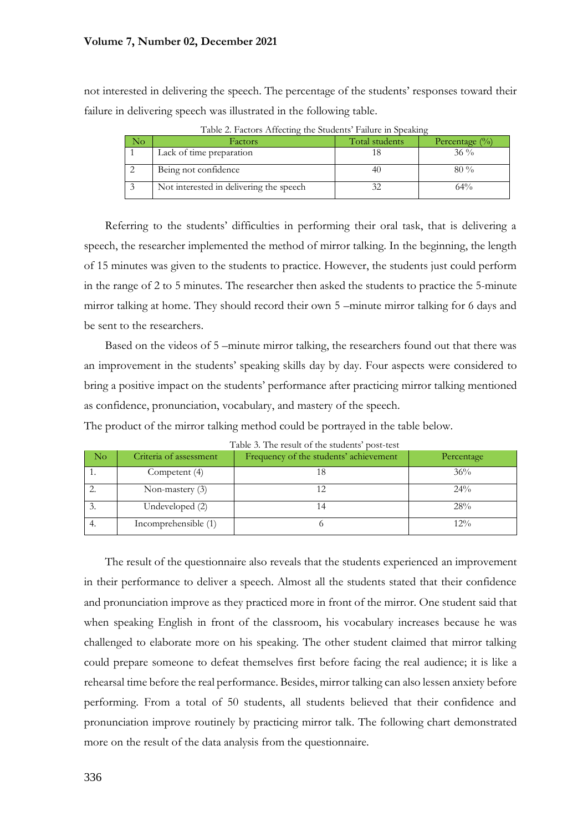not interested in delivering the speech. The percentage of the students' responses toward their failure in delivering speech was illustrated in the following table.

| INΟ | Factors                                 | Total students | Percentage $(\% )$ |  |  |
|-----|-----------------------------------------|----------------|--------------------|--|--|
|     | Lack of time preparation                |                | $36\%$             |  |  |
|     | Being not confidence                    |                | $80\%$             |  |  |
|     | Not interested in delivering the speech |                | 64%                |  |  |

Table 2. Factors Affecting the Students' Failure in Speaking

Referring to the students' difficulties in performing their oral task, that is delivering a speech, the researcher implemented the method of mirror talking. In the beginning, the length of 15 minutes was given to the students to practice. However, the students just could perform in the range of 2 to 5 minutes. The researcher then asked the students to practice the 5-minute mirror talking at home. They should record their own 5 –minute mirror talking for 6 days and be sent to the researchers.

Based on the videos of 5 –minute mirror talking, the researchers found out that there was an improvement in the students' speaking skills day by day. Four aspects were considered to bring a positive impact on the students' performance after practicing mirror talking mentioned as confidence, pronunciation, vocabulary, and mastery of the speech.

|  |  | The product of the mirror talking method could be portrayed in the table below. |  |  |  |
|--|--|---------------------------------------------------------------------------------|--|--|--|
|  |  |                                                                                 |  |  |  |

| N <sub>O</sub> | Criteria of assessment | Frequency of the students' achievement | Percentage |
|----------------|------------------------|----------------------------------------|------------|
|                | Competent (4)          |                                        | 36%        |
|                | Non-mastery $(3)$      |                                        | $24\%$     |
|                | Undeveloped (2)        |                                        | 28%        |
| 4.             | Incomprehensible (1)   |                                        | 12%        |

Table 3. The result of the students' post-test

The result of the questionnaire also reveals that the students experienced an improvement in their performance to deliver a speech. Almost all the students stated that their confidence and pronunciation improve as they practiced more in front of the mirror. One student said that when speaking English in front of the classroom, his vocabulary increases because he was challenged to elaborate more on his speaking. The other student claimed that mirror talking could prepare someone to defeat themselves first before facing the real audience; it is like a rehearsal time before the real performance. Besides, mirror talking can also lessen anxiety before performing. From a total of 50 students, all students believed that their confidence and pronunciation improve routinely by practicing mirror talk. The following chart demonstrated more on the result of the data analysis from the questionnaire.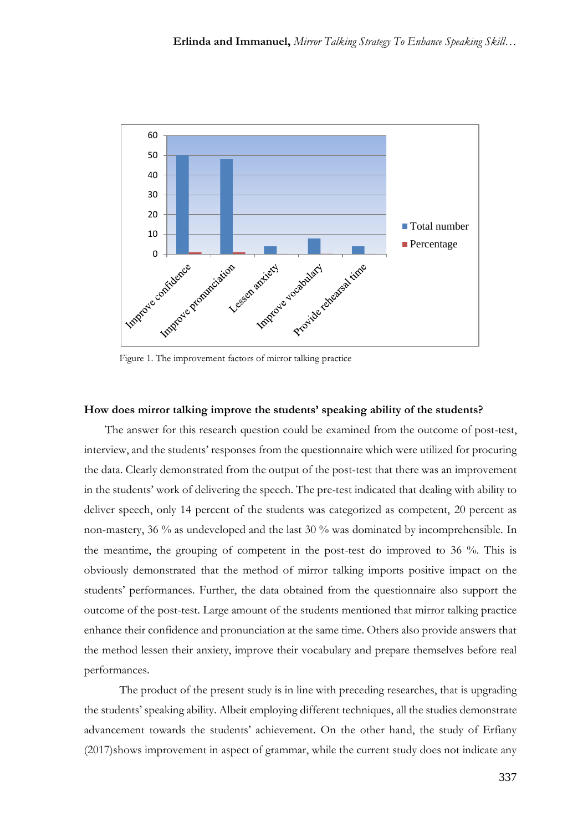

Figure 1. The improvement factors of mirror talking practice

#### **How does mirror talking improve the students' speaking ability of the students?**

The answer for this research question could be examined from the outcome of post-test, interview, and the students' responses from the questionnaire which were utilized for procuring the data. Clearly demonstrated from the output of the post-test that there was an improvement in the students' work of delivering the speech. The pre-test indicated that dealing with ability to deliver speech, only 14 percent of the students was categorized as competent, 20 percent as non-mastery, 36 % as undeveloped and the last 30 % was dominated by incomprehensible. In the meantime, the grouping of competent in the post-test do improved to 36 %. This is obviously demonstrated that the method of mirror talking imports positive impact on the students' performances. Further, the data obtained from the questionnaire also support the outcome of the post-test. Large amount of the students mentioned that mirror talking practice enhance their confidence and pronunciation at the same time. Others also provide answers that the method lessen their anxiety, improve their vocabulary and prepare themselves before real performances.

The product of the present study is in line with preceding researches, that is upgrading the students' speaking ability. Albeit employing different techniques, all the studies demonstrate advancement towards the students' achievement. On the other hand, the study of Erfiany (2017)shows improvement in aspect of grammar, while the current study does not indicate any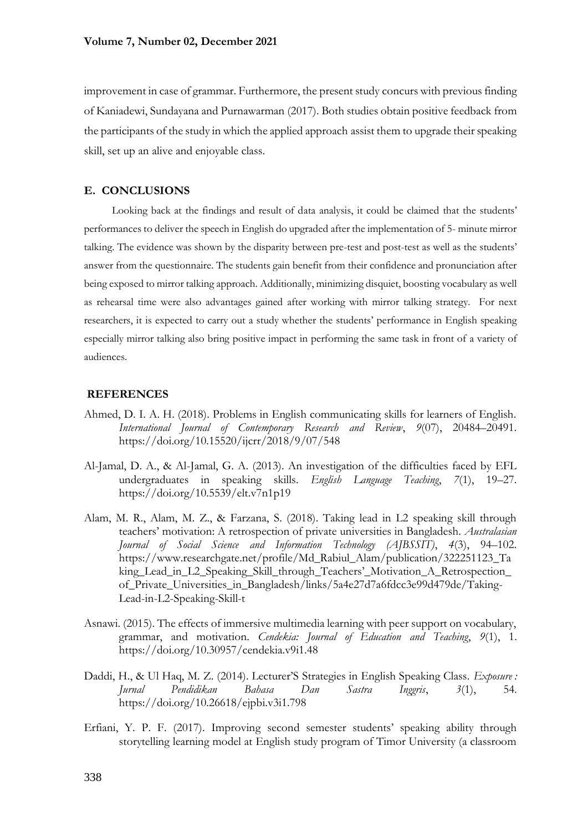improvement in case of grammar. Furthermore, the present study concurs with previous finding of Kaniadewi, Sundayana and Purnawarman (2017). Both studies obtain positive feedback from the participants of the study in which the applied approach assist them to upgrade their speaking skill, set up an alive and enjoyable class.

## **E. CONCLUSIONS**

Looking back at the findings and result of data analysis, it could be claimed that the students' performances to deliver the speech in English do upgraded after the implementation of 5- minute mirror talking. The evidence was shown by the disparity between pre-test and post-test as well as the students' answer from the questionnaire. The students gain benefit from their confidence and pronunciation after being exposed to mirror talking approach. Additionally, minimizing disquiet, boosting vocabulary as well as rehearsal time were also advantages gained after working with mirror talking strategy. For next researchers, it is expected to carry out a study whether the students' performance in English speaking especially mirror talking also bring positive impact in performing the same task in front of a variety of audiences.

#### **REFERENCES**

- Ahmed, D. I. A. H. (2018). Problems in English communicating skills for learners of English. *International Journal of Contemporary Research and Review*, *9*(07), 20484–20491. https://doi.org/10.15520/ijcrr/2018/9/07/548
- Al-Jamal, D. A., & Al-Jamal, G. A. (2013). An investigation of the difficulties faced by EFL undergraduates in speaking skills. *English Language Teaching*, *7*(1), 19–27. https://doi.org/10.5539/elt.v7n1p19
- Alam, M. R., Alam, M. Z., & Farzana, S. (2018). Taking lead in L2 speaking skill through teachers' motivation: A retrospection of private universities in Bangladesh. *Australasian Journal of Social Science and Information Technology (AJBSSIT)*, *4*(3), 94–102. https://www.researchgate.net/profile/Md\_Rabiul\_Alam/publication/322251123\_Ta king\_Lead\_in\_L2\_Speaking\_Skill\_through\_Teachers'\_Motivation\_A\_Retrospection\_ of\_Private\_Universities\_in\_Bangladesh/links/5a4e27d7a6fdcc3e99d479de/Taking-Lead-in-L2-Speaking-Skill-t
- Asnawi. (2015). The effects of immersive multimedia learning with peer support on vocabulary, grammar, and motivation. *Cendekia: Journal of Education and Teaching*, *9*(1), 1. https://doi.org/10.30957/cendekia.v9i1.48
- Daddi, H., & Ul Haq, M. Z. (2014). Lecturer'S Strategies in English Speaking Class. *Exposure : Jurnal Pendidikan Bahasa Dan Sastra Inggris*, *3*(1), 54. https://doi.org/10.26618/ejpbi.v3i1.798
- Erfiani, Y. P. F. (2017). Improving second semester students' speaking ability through storytelling learning model at English study program of Timor University (a classroom